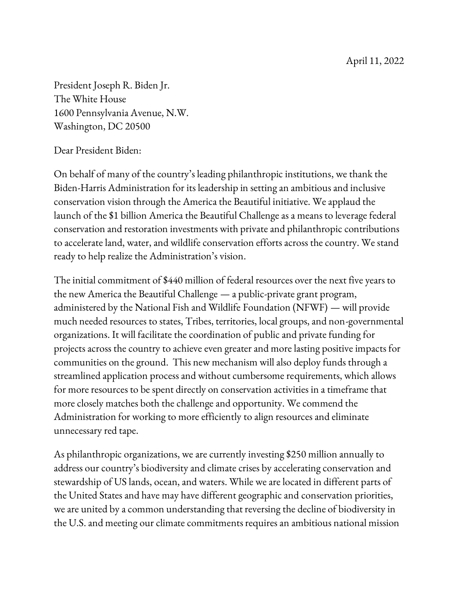President Joseph R. Biden Jr. The White House 1600 Pennsylvania Avenue, N.W. Washington, DC 20500

Dear President Biden:

On behalf of many of the country's leading philanthropic institutions, we thank the Biden-Harris Administration for its leadership in setting an ambitious and inclusive conservation vision through the America the Beautiful initiative. We applaud the launch of the \$1 billion America the Beautiful Challenge as a means to leverage federal conservation and restoration investments with private and philanthropic contributions to accelerate land, water, and wildlife conservation efforts across the country. We stand ready to help realize the Administration's vision.

The initial commitment of \$440 million of federal resources over the next five years to the new America the Beautiful Challenge — a public-private grant program, administered by the National Fish and Wildlife Foundation (NFWF) — will provide much needed resources to states, Tribes, territories, local groups, and non-governmental organizations. It will facilitate the coordination of public and private funding for projects across the country to achieve even greater and more lasting positive impacts for communities on the ground. This new mechanism will also deploy funds through a streamlined application process and without cumbersome requirements, which allows for more resources to be spent directly on conservation activities in a timeframe that more closely matches both the challenge and opportunity. We commend the Administration for working to more efficiently to align resources and eliminate unnecessary red tape.

As philanthropic organizations, we are currently investing \$250 million annually to address our country's biodiversity and climate crises by accelerating conservation and stewardship of US lands, ocean, and waters. While we are located in different parts of the United States and have may have different geographic and conservation priorities, we are united by a common understanding that reversing the decline of biodiversity in the U.S. and meeting our climate commitments requires an ambitious national mission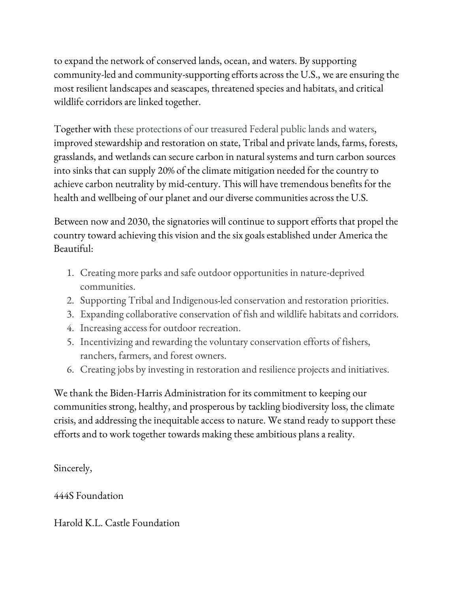to expand the network of conserved lands, ocean, and waters. By supporting community-led and community-supporting efforts across the U.S., we are ensuring the most resilient landscapes and seascapes, threatened species and habitats, and critical wildlife corridors are linked together.

Together with these protections of our treasured Federal public lands and waters, improved stewardship and restoration on state, Tribal and private lands, farms, forests, grasslands, and wetlands can secure carbon in natural systems and turn carbon sources into sinks that can supply 20% of the climate mitigation needed for the country to achieve carbon neutrality by mid-century. This will have tremendous benefits for the health and wellbeing of our planet and our diverse communities across the U.S.

Between now and 2030, the signatories will continue to support efforts that propel the country toward achieving this vision and the six goals established under America the Beautiful:

- 1. Creating more parks and safe outdoor opportunities in nature-deprived communities.
- 2. Supporting Tribal and Indigenous-led conservation and restoration priorities.
- 3. Expanding collaborative conservation of fish and wildlife habitats and corridors.
- 4. Increasing access for outdoor recreation.
- 5. Incentivizing and rewarding the voluntary conservation efforts of fishers, ranchers, farmers, and forest owners.
- 6. Creating jobs by investing in restoration and resilience projects and initiatives.

We thank the Biden-Harris Administration for its commitment to keeping our communities strong, healthy, and prosperous by tackling biodiversity loss, the climate crisis, and addressing the inequitable access to nature. We stand ready to support these efforts and to work together towards making these ambitious plans a reality.

Sincerely,

444S Foundation

Harold K.L. Castle Foundation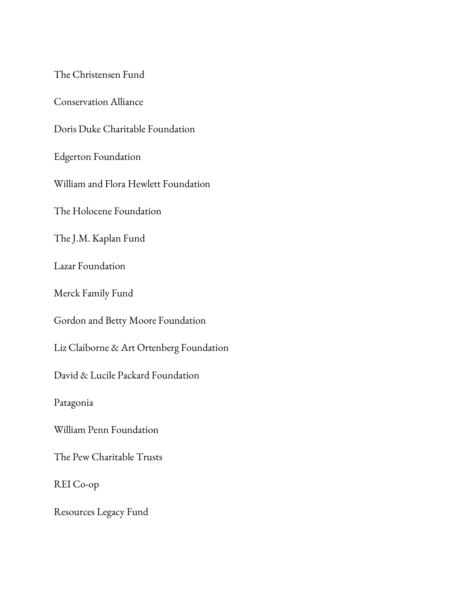The Christensen Fund

Conservation Alliance

Doris Duke Charitable Foundation

Edgerton Foundation

William and Flora Hewlett Foundation

The Holocene Foundation

The J.M. Kaplan Fund

Lazar Foundation

Merck Family Fund

Gordon and Betty Moore Foundation

Liz Claiborne & Art Ortenberg Foundation

David & Lucile Packard Foundation

Patagonia

William Penn Foundation

The Pew Charitable Trusts

REI Co-op

Resources Legacy Fund